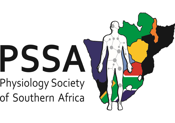# PSSA Physiology Society of Southern Africa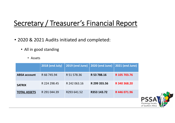## Secretary / Treasurer's Financial Report

- 2020 & 2021 Audits initiated and completed:
	- All in good standing
		- Assets

|                     | <b>2018 (end July)</b> | <b>2019 (end June)</b> | <b>2020 (end June)</b> | <b>2021 (end June)</b> |
|---------------------|------------------------|------------------------|------------------------|------------------------|
| <b>ABSA account</b> | R 66 745.94            | R 51 578.36            | R 53 788.16            | R 105 703.76           |
| <b>SATRIX</b>       | R 224 298.45           | R 242 063.16           | R 299 355.56           | R 340 368.20           |
| <b>TOTAL ASSETS</b> | R 291 044.39           | R293 641.52            | R353 143.72            | R446071.96             |
|                     |                        |                        |                        |                        |

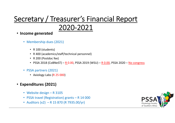#### Secretary / Treasurer's Financial Report 2020‐2021

- $\bullet$  **Income generated**
	- Membership dues (2021)
		- R 100 (students)
		- R 400 (academics/staff/technical personnel)
		- R 200 (Postdoc fee)
		- PSSA 2018 (CoBNeST) <u>R 0.00</u>, PSSA 2019 (WSU) <u>R 0.00</u>, PSSA 2020 <u>No congress</u>
	- PSSA partners (2021)
		- Axiology Labs (R 25 000)
- **Expenditures (2021)**
	- Website design R 3105
	- PSSA travel (Registration) grants R 14 000
	- Auditors (x2) R 15 870 (R 7935.00/yr)

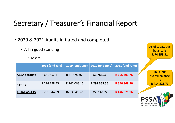### Secretary / Treasurer's Financial Report

• 2020 & 2021 Audits initiated and completed: